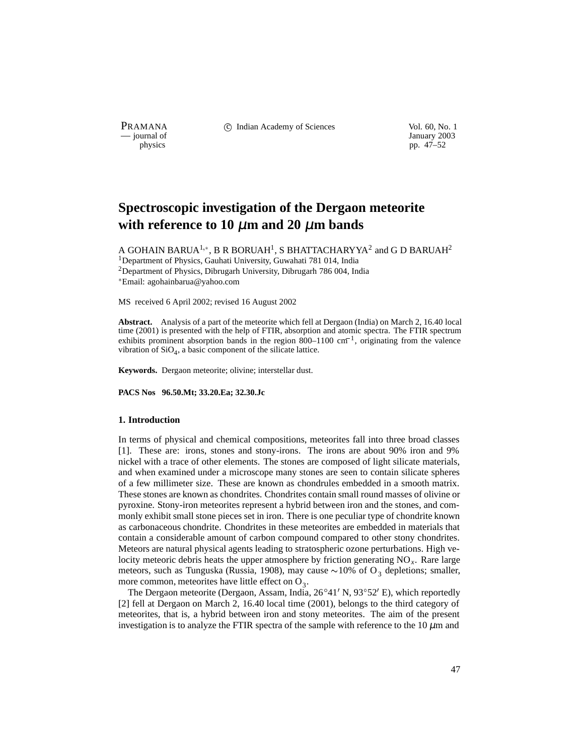PRAMANA 
<sup>c</sup> Indian Academy of Sciences Vol. 60, No. 1 Units Use Vol. 60, No. 1 Units Vol. 60, No. 1 Units Vol. 60, No. 1 Units Vol. 60, No. 1 Units Vol. 60, No. 1 Units Vol. 60, No. 1 Units Vol. 60, No. 1 Units Vol. 60, N

January 2003 physics pp. 47–52

# **Spectroscopic investigation of the Dergaon meteorite with reference to 10** µ**m and 20** µ**m bands**

A GOHAIN BARUA $^{1,\ast}$ , B R BORUAH $^{1}$ , S BHATTACHARYYA $^{2}$  and G D BARUAH $^{2}$ <sup>1</sup>Department of Physics, Gauhati University, Guwahati 781 014, India <sup>2</sup>Department of Physics, Dibrugarh University, Dibrugarh 786 004, India Email: agohainbarua@yahoo.com

MS received 6 April 2002; revised 16 August 2002

**Abstract.** Analysis of a part of the meteorite which fell at Dergaon (India) on March 2, 16.40 local time (2001) is presented with the help of FTIR, absorption and atomic spectra. The FTIR spectrum exhibits prominent absorption bands in the region 800–1100 cm<sup>-1</sup>, originating from the valence vibration of  $SiO<sub>4</sub>$ , a basic component of the silicate lattice.

**Keywords.** Dergaon meteorite; olivine; interstellar dust.

**PACS Nos 96.50.Mt; 33.20.Ea; 32.30.Jc**

#### **1. Introduction**

In terms of physical and chemical compositions, meteorites fall into three broad classes [1]. These are: irons, stones and stony-irons. The irons are about 90% iron and 9% nickel with a trace of other elements. The stones are composed of light silicate materials, and when examined under a microscope many stones are seen to contain silicate spheres of a few millimeter size. These are known as chondrules embedded in a smooth matrix. These stones are known as chondrites. Chondrites contain small round masses of olivine or pyroxine. Stony-iron meteorites represent a hybrid between iron and the stones, and commonly exhibit small stone pieces set in iron. There is one peculiar type of chondrite known as carbonaceous chondrite. Chondrites in these meteorites are embedded in materials that contain a considerable amount of carbon compound compared to other stony chondrites. Meteors are natural physical agents leading to stratospheric ozone perturbations. High velocity meteoric debris heats the upper atmosphere by friction generating NO*x*. Rare large meteors, such as Tunguska (Russia, 1908), may cause  $\sim$  10% of O<sub>3</sub> depletions; smaller, more common, meteorites have little effect on  $O_3$ .

The Dergaon meteorite (Dergaon, Assam, India,  $26^{\circ}41'$  N,  $93^{\circ}52'$  E), which reportedly [2] fell at Dergaon on March 2, 16.40 local time (2001), belongs to the third category of meteorites, that is, a hybrid between iron and stony meteorites. The aim of the present investigation is to analyze the FTIR spectra of the sample with reference to the  $10 \mu m$  and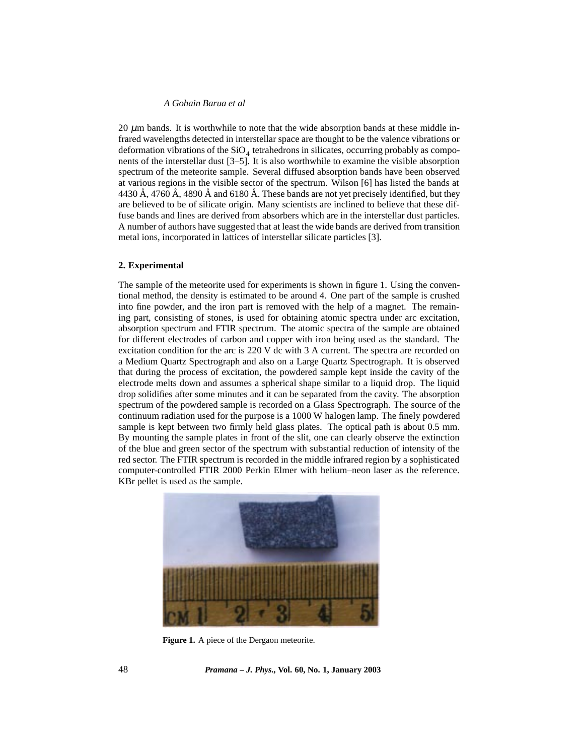### *A Gohain Barua et al*

20  $\mu$ m bands. It is worthwhile to note that the wide absorption bands at these middle infrared wavelengths detected in interstellar space are thought to be the valence vibrations or deformation vibrations of the  $SiO<sub>4</sub>$  tetrahedrons in silicates, occurring probably as components of the interstellar dust [3–5]. It is also worthwhile to examine the visible absorption spectrum of the meteorite sample. Several diffused absorption bands have been observed at various regions in the visible sector of the spectrum. Wilson [6] has listed the bands at 4430 Å, 4760 Å, 4890 Å and 6180 Å. These bands are not yet precisely identified, but they are believed to be of silicate origin. Many scientists are inclined to believe that these diffuse bands and lines are derived from absorbers which are in the interstellar dust particles. A number of authors have suggested that at least the wide bands are derived from transition metal ions, incorporated in lattices of interstellar silicate particles [3].

## **2. Experimental**

The sample of the meteorite used for experiments is shown in figure 1. Using the conventional method, the density is estimated to be around 4. One part of the sample is crushed into fine powder, and the iron part is removed with the help of a magnet. The remaining part, consisting of stones, is used for obtaining atomic spectra under arc excitation, absorption spectrum and FTIR spectrum. The atomic spectra of the sample are obtained for different electrodes of carbon and copper with iron being used as the standard. The excitation condition for the arc is 220 V dc with 3 A current. The spectra are recorded on a Medium Quartz Spectrograph and also on a Large Quartz Spectrograph. It is observed that during the process of excitation, the powdered sample kept inside the cavity of the electrode melts down and assumes a spherical shape similar to a liquid drop. The liquid drop solidifies after some minutes and it can be separated from the cavity. The absorption spectrum of the powdered sample is recorded on a Glass Spectrograph. The source of the continuum radiation used for the purpose is a 1000 W halogen lamp. The finely powdered sample is kept between two firmly held glass plates. The optical path is about 0.5 mm. By mounting the sample plates in front of the slit, one can clearly observe the extinction of the blue and green sector of the spectrum with substantial reduction of intensity of the red sector. The FTIR spectrum is recorded in the middle infrared region by a sophisticated computer-controlled FTIR 2000 Perkin Elmer with helium–neon laser as the reference. KBr pellet is used as the sample.



**Figure 1.** A piece of the Dergaon meteorite.

48 *Pramana – J. Phys.,* **Vol. 60, No. 1, January 2003**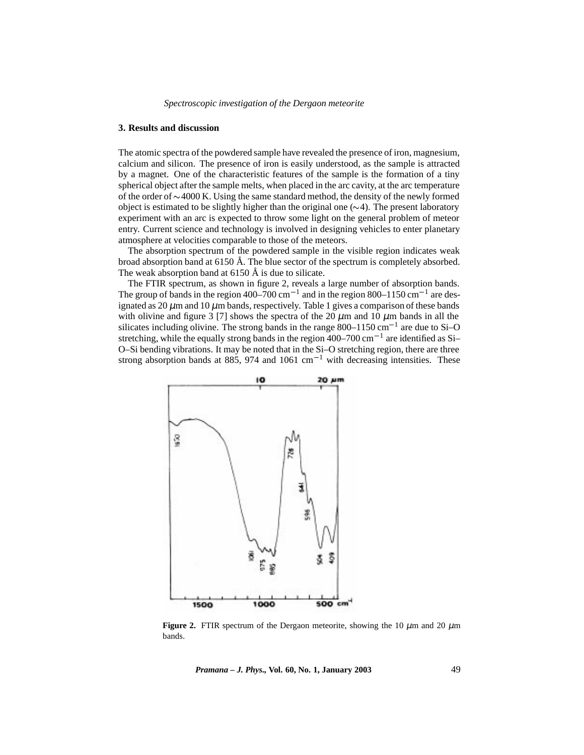#### **3. Results and discussion**

The atomic spectra of the powdered sample have revealed the presence of iron, magnesium, calcium and silicon. The presence of iron is easily understood, as the sample is attracted by a magnet. One of the characteristic features of the sample is the formation of a tiny spherical object after the sample melts, when placed in the arc cavity, at the arc temperature of the order of  $\sim$ 4000 K. Using the same standard method, the density of the newly formed object is estimated to be slightly higher than the original one  $(\sim 4)$ . The present laboratory experiment with an arc is expected to throw some light on the general problem of meteor entry. Current science and technology is involved in designing vehicles to enter planetary atmosphere at velocities comparable to those of the meteors.

The absorption spectrum of the powdered sample in the visible region indicates weak broad absorption band at  $6150 \text{ Å}$ . The blue sector of the spectrum is completely absorbed. The weak absorption band at  $6150 \text{ Å}$  is due to silicate.

The FTIR spectrum, as shown in figure 2, reveals a large number of absorption bands. The group of bands in the region 400–700 cm<sup>-1</sup> and in the region 800–1150 cm<sup>-1</sup> are designated as  $20 \mu$ m and  $10 \mu$ m bands, respectively. Table 1 gives a comparison of these bands with olivine and figure 3 [7] shows the spectra of the 20  $\mu$ m and 10  $\mu$ m bands in all the silicates including olivine. The strong bands in the range  $800-1150 \text{ cm}^{-1}$  are due to Si–O stretching, while the equally strong bands in the region  $400-700$  cm<sup>-1</sup> are identified as Si-O–Si bending vibrations. It may be noted that in the Si–O stretching region, there are three strong absorption bands at 885, 974 and 1061 cm<sup>-1</sup> with decreasing intensities. These



**Figure 2.** FTIR spectrum of the Dergaon meteorite, showing the 10  $\mu$ m and 20  $\mu$ m bands.

*Pramana – J. Phys.,* **Vol. 60, No. 1, January 2003** 49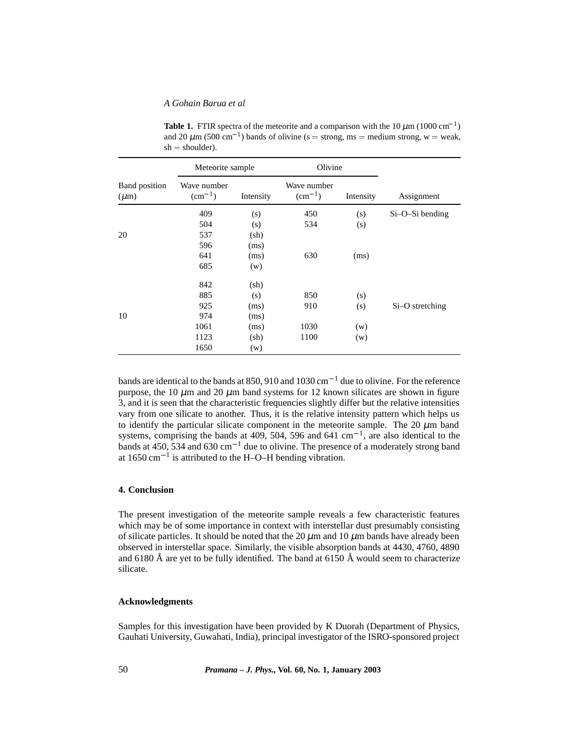### *A Gohain Barua et al*

| <b>Band</b> position<br>$(\mu m)$ | Meteorite sample               |                 | Olivine                        |           |                 |
|-----------------------------------|--------------------------------|-----------------|--------------------------------|-----------|-----------------|
|                                   | Wave number<br>$\rm (cm^{-1})$ | Intensity       | Wave number<br>$\rm (cm^{-1})$ | Intensity | Assignment      |
|                                   | 409                            | (s)             | 450                            | (s)       | Si-O-Si bending |
|                                   | 504                            | (s)             | 534                            | (s)       |                 |
| 20                                | 537                            | (sh)            |                                |           |                 |
|                                   | 596                            | (ms)            |                                |           |                 |
|                                   | 641                            | (ms)            | 630                            | (ms)      |                 |
|                                   | 685                            | (w)             |                                |           |                 |
|                                   | 842                            | $(\mathrm{sh})$ |                                |           |                 |
|                                   | 885                            | (s)             | 850                            | (s)       |                 |
|                                   | 925                            | (ms)            | 910                            | (s)       | Si-O stretching |
| 10                                | 974                            | (ms)            |                                |           |                 |
|                                   | 1061                           | (ms)            | 1030                           | (w)       |                 |
|                                   | 1123                           | $(\mathrm{sh})$ | 1100                           | (w)       |                 |
|                                   | 1650                           | (w)             |                                |           |                 |

**Table 1.** FTIR spectra of the meteorite and a comparison with the  $10 \mu m (1000 \text{ cm}^{-1})$ and 20  $\mu$ m (500 cm<sup>-1</sup>) bands of olivine (s = strong, ms = medium strong, w = weak,  $sh = shoulder$ ).

bands are identical to the bands at 850, 910 and 1030 cm<sup>-1</sup> due to olivine. For the reference purpose, the 10  $\mu$ m and 20  $\mu$ m band systems for 12 known silicates are shown in figure 3, and it is seen that the characteristic frequencies slightly differ but the relative intensities vary from one silicate to another. Thus, it is the relative intensity pattern which helps us to identify the particular silicate component in the meteorite sample. The 20  $\mu$ m band systems, comprising the bands at 409, 504, 596 and 641 cm<sup>-1</sup>, are also identical to the bands at 450, 534 and 630 cm<sup>-1</sup> due to olivine. The presence of a moderately strong band at  $1650 \text{ cm}^{-1}$  is attributed to the H–O–H bending vibration.

#### **4. Conclusion**

The present investigation of the meteorite sample reveals a few characteristic features which may be of some importance in context with interstellar dust presumably consisting of silicate particles. It should be noted that the 20  $\mu$ m and 10  $\mu$ m bands have already been observed in interstellar space. Similarly, the visible absorption bands at 4430, 4760, 4890 and 6180 Å are yet to be fully identified. The band at 6150 Å would seem to characterize silicate.

### **Acknowledgments**

Samples for this investigation have been provided by K Duorah (Department of Physics, Gauhati University, Guwahati, India), principal investigator of the ISRO-sponsored project

50 *Pramana – J. Phys.,* **Vol. 60, No. 1, January 2003**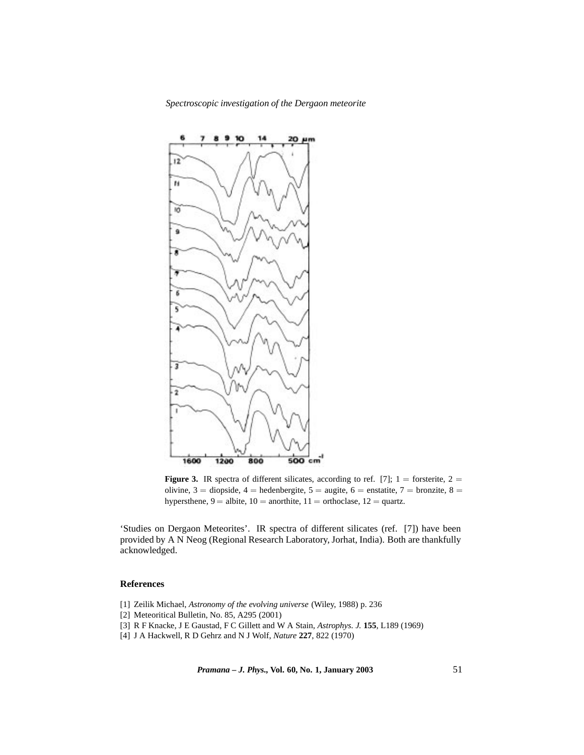*Spectroscopic investigation of the Dergaon meteorite*



**Figure 3.** IR spectra of different silicates, according to ref. [7];  $1 =$  forsterite,  $2 =$ olivine, 3 = diopside, 4 = hedenbergite, 5 = augite, 6 = enstatite, 7 = bronzite, 8 = hypersthene,  $9 =$  albite,  $10 =$  anorthite,  $11 =$  orthoclase,  $12 =$  quartz.

'Studies on Dergaon Meteorites'. IR spectra of different silicates (ref. [7]) have been provided by A N Neog (Regional Research Laboratory, Jorhat, India). Both are thankfully acknowledged.

## **References**

- [1] Zeilik Michael, *Astronomy of the evolving universe* (Wiley, 1988) p. 236
- [2] Meteoritical Bulletin, No. 85, A295 (2001)
- [3] R F Knacke, J E Gaustad, F C Gillett and W A Stain, *Astrophys. J.* **155**, L189 (1969)
- [4] J A Hackwell, R D Gehrz and N J Wolf, *Nature* **227**, 822 (1970)

*Pramana – J. Phys.,* **Vol. 60, No. 1, January 2003** 51